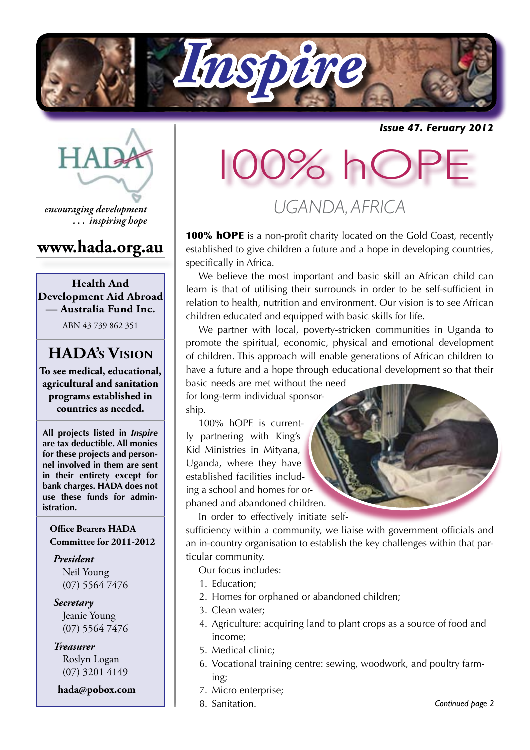

*Issue 47. Feruary 2012*



*encouraging development . . . inspiring hope*

## **www.hada.org.au**

**Health And Development Aid Abroad — Australia Fund Inc.**

ABN 43 739 862 351

# **HADA's Vision**

**To see medical, educational, agricultural and sanitation programs established in countries as needed.**

**All projects listed in** *Inspire* **are tax deductible. All monies for these projects and personnel involved in them are sent in their entirety except for bank charges. HADA does not use these funds for administration.**

#### **Office Bearers HADA Committee for 2011-2012**

*President* Neil Young (07) 5564 7476

*Secretary* Jeanie Young (07) 5564 7476

*Treasurer* Roslyn Logan (07) 3201 4149

 **hada@pobox.com**

# 00% hC

*UGANDA, AFRICA*

**100% hOPE** is a non-profit charity located on the Gold Coast, recently established to give children a future and a hope in developing countries, specifically in Africa.

We believe the most important and basic skill an African child can learn is that of utilising their surrounds in order to be self-sufficient in relation to health, nutrition and environment. Our vision is to see African children educated and equipped with basic skills for life.

We partner with local, poverty-stricken communities in Uganda to promote the spiritual, economic, physical and emotional development of children. This approach will enable generations of African children to have a future and a hope through educational development so that their basic needs are met without the need

for long-term individual sponsorship.

100% hOPE is currently partnering with King's Kid Ministries in Mityana, Uganda, where they have established facilities including a school and homes for orphaned and abandoned children.

In order to effectively initiate self-

sufficiency within a community, we liaise with government officials and an in-country organisation to establish the key challenges within that particular community.

Our focus includes:

- 1. Education;
- 2. Homes for orphaned or abandoned children;
- 3. Clean water;
- 4. Agriculture: acquiring land to plant crops as a source of food and income;
- 5. Medical clinic;
- 6. Vocational training centre: sewing, woodwork, and poultry farming;
- 7. Micro enterprise;
- 8. Sanitation.

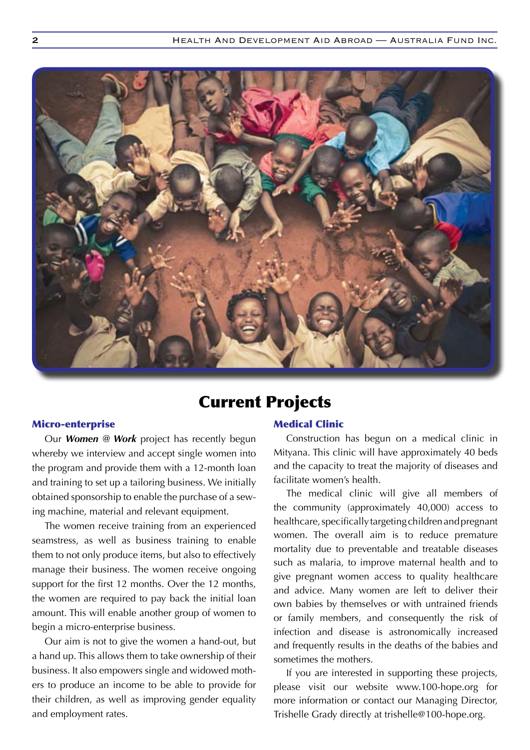

## Current Projects

#### Micro-enterprise

Our *Women @ Work* project has recently begun whereby we interview and accept single women into the program and provide them with a 12-month loan and training to set up a tailoring business. We initially obtained sponsorship to enable the purchase of a sewing machine, material and relevant equipment.

The women receive training from an experienced seamstress, as well as business training to enable them to not only produce items, but also to effectively manage their business. The women receive ongoing support for the first 12 months. Over the 12 months, the women are required to pay back the initial loan amount. This will enable another group of women to begin a micro-enterprise business.

Our aim is not to give the women a hand-out, but a hand up. This allows them to take ownership of their business. It also empowers single and widowed mothers to produce an income to be able to provide for their children, as well as improving gender equality and employment rates.

#### Medical Clinic

Construction has begun on a medical clinic in Mityana. This clinic will have approximately 40 beds and the capacity to treat the majority of diseases and facilitate women's health.

The medical clinic will give all members of the community (approximately 40,000) access to healthcare, specifically targeting children and pregnant women. The overall aim is to reduce premature mortality due to preventable and treatable diseases such as malaria, to improve maternal health and to give pregnant women access to quality healthcare and advice. Many women are left to deliver their own babies by themselves or with untrained friends or family members, and consequently the risk of infection and disease is astronomically increased and frequently results in the deaths of the babies and sometimes the mothers.

If you are interested in supporting these projects, please visit our website www.100-hope.org for more information or contact our Managing Director, Trishelle Grady directly at trishelle@100-hope.org.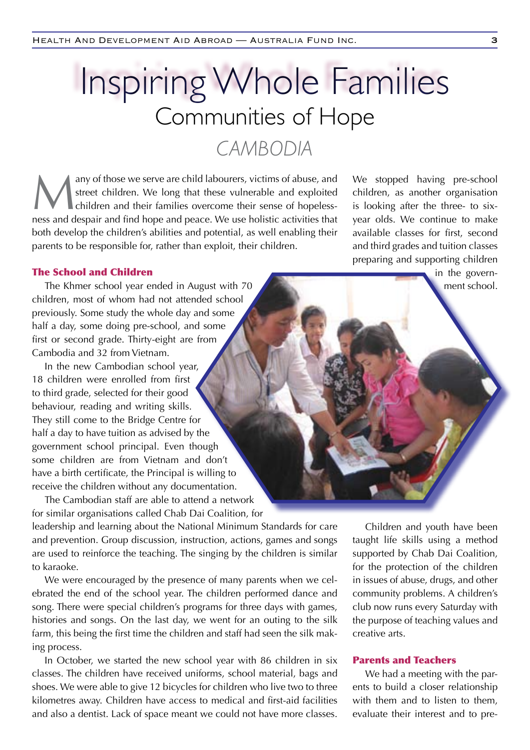# Communities of Hope *CAMBODIA* Inspiring Whole Families

any of those we serve are child labourers, victims of abuse, and street children. We long that these vulnerable and exploited children and their families overcome their sense of hopelessstreet children. We long that these vulnerable and exploited children and their families overcome their sense of hopelessness and despair and find hope and peace. We use holistic activities that both develop the children's abilities and potential, as well enabling their parents to be responsible for, rather than exploit, their children.

We stopped having pre-school children, as another organisation is looking after the three- to sixyear olds. We continue to make available classes for first, second and third grades and tuition classes preparing and supporting children

> in the government school.

#### The School and Children

The Khmer school year ended in August with 70 children, most of whom had not attended school previously. Some study the whole day and some half a day, some doing pre-school, and some first or second grade. Thirty-eight are from Cambodia and 32 from Vietnam.

In the new Cambodian school year, 18 children were enrolled from first to third grade, selected for their good behaviour, reading and writing skills. They still come to the Bridge Centre for half a day to have tuition as advised by the government school principal. Even though some children are from Vietnam and don't have a birth certificate, the Principal is willing to receive the children without any documentation.

The Cambodian staff are able to attend a network for similar organisations called Chab Dai Coalition, for

leadership and learning about the National Minimum Standards for care and prevention. Group discussion, instruction, actions, games and songs are used to reinforce the teaching. The singing by the children is similar to karaoke.

We were encouraged by the presence of many parents when we celebrated the end of the school year. The children performed dance and song. There were special children's programs for three days with games, histories and songs. On the last day, we went for an outing to the silk farm, this being the first time the children and staff had seen the silk making process.

In October, we started the new school year with 86 children in six classes. The children have received uniforms, school material, bags and shoes. We were able to give 12 bicycles for children who live two to three kilometres away. Children have access to medical and first-aid facilities and also a dentist. Lack of space meant we could not have more classes.

Children and youth have been taught life skills using a method supported by Chab Dai Coalition, for the protection of the children in issues of abuse, drugs, and other community problems. A children's club now runs every Saturday with the purpose of teaching values and creative arts.

#### Parents and Teachers

We had a meeting with the parents to build a closer relationship with them and to listen to them, evaluate their interest and to pre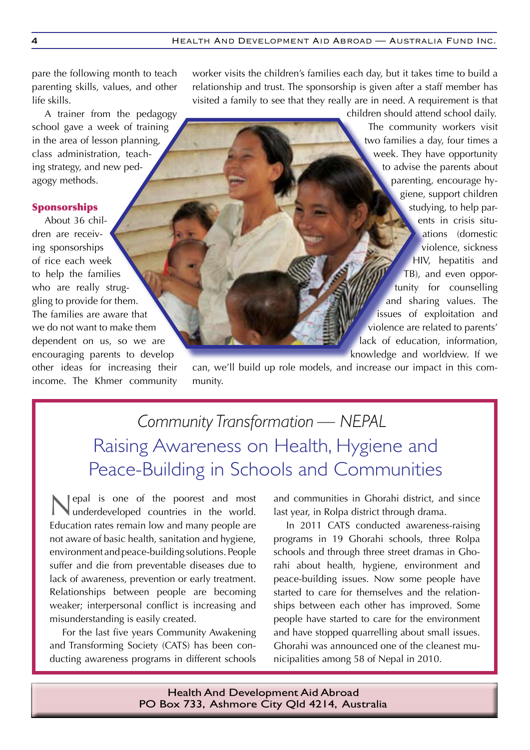pare the following month to teach parenting skills, values, and other life skills.

A trainer from the pedagogy school gave a week of training in the area of lesson planning, class administration, teaching strategy, and new pedagogy methods.

#### Sponsorships

About 36 children are receiving sponsorships of rice each week to help the families who are really struggling to provide for them. The families are aware that we do not want to make them dependent on us, so we are encouraging parents to develop other ideas for increasing their income. The Khmer community worker visits the children's families each day, but it takes time to build a relationship and trust. The sponsorship is given after a staff member has visited a family to see that they really are in need. A requirement is that

> children should attend school daily. The community workers visit two families a day, four times a week. They have opportunity to advise the parents about parenting, encourage hygiene, support children studying, to help parents in crisis situations (domestic violence, sickness HIV, hepatitis and TB), and even opportunity for counselling and sharing values. The issues of exploitation and violence are related to parents' lack of education, information, knowledge and worldview. If we

can, we'll build up role models, and increase our impact in this community.

*Community Transformation — NEPAL* Raising Awareness on Health, Hygiene and Peace-Building in Schools and Communities

Nepal is one of the poorest and most underdeveloped countries in the world. Education rates remain low and many people are not aware of basic health, sanitation and hygiene, environment and peace-building solutions. People suffer and die from preventable diseases due to lack of awareness, prevention or early treatment. Relationships between people are becoming weaker; interpersonal conflict is increasing and misunderstanding is easily created.

For the last five years Community Awakening and Transforming Society (CATS) has been conducting awareness programs in different schools and communities in Ghorahi district, and since last year, in Rolpa district through drama.

In 2011 CATS conducted awareness-raising programs in 19 Ghorahi schools, three Rolpa schools and through three street dramas in Ghorahi about health, hygiene, environment and peace-building issues. Now some people have started to care for themselves and the relationships between each other has improved. Some people have started to care for the environment and have stopped quarrelling about small issues. Ghorahi was announced one of the cleanest municipalities among 58 of Nepal in 2010.

Health And Development Aid Abroad PO Box 733, Ashmore City Qld 4214, Australia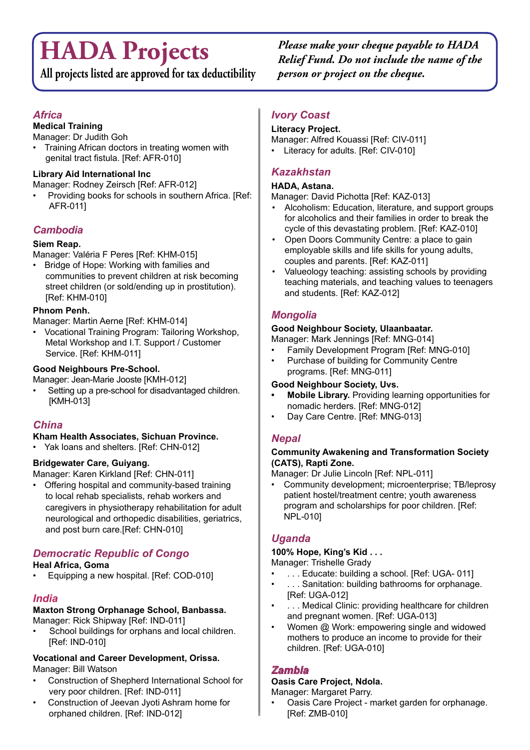# **HADA Projects**

**All projects listed are approved for tax deductibility**

*Please make your cheque payable to HADA Relief Fund. Do not include the name of the person or project on the cheque.*

#### *Africa*

#### **Medical Training**

Manager: Dr Judith Goh

Training African doctors in treating women with genital tract fistula. [Ref: AFR-010]

#### **Library Aid International Inc**

Manager: Rodney Zeirsch [Ref: AFR-012]

Providing books for schools in southern Africa. [Ref: AFR-011]

#### *Cambodia*

#### **Siem Reap.**

Manager: Valéria F Peres [Ref: KHM-015]

• Bridge of Hope: Working with families and communities to prevent children at risk becoming street children (or sold/ending up in prostitution). [Ref: KHM-010]

#### **Phnom Penh.**

Manager: Martin Aerne [Ref: KHM-014]

Vocational Training Program: Tailoring Workshop, Metal Workshop and I.T. Support / Customer Service. [Ref: KHM-011]

#### **Good Neighbours Pre-School.**

Manager: Jean-Marie Jooste [KMH-012]

Setting up a pre-school for disadvantaged children. [KMH-013]

#### *China*

#### **Kham Health Associates, Sichuan Province.**

• Yak loans and shelters. [Ref: CHN-012]

#### **Bridgewater Care, Guiyang.**

Manager: Karen Kirkland [Ref: CHN-011]

• Offering hospital and community-based training to local rehab specialists, rehab workers and caregivers in physiotherapy rehabilitation for adult neurological and orthopedic disabilities, geriatrics, and post burn care.[Ref: CHN-010]

#### *Democratic Republic of Congo*

#### **Heal Africa, Goma**

Equipping a new hospital. [Ref: COD-010]

#### *India*

### **Maxton Strong Orphanage School, Banbassa.**

Manager: Rick Shipway [Ref: IND-011]

School buildings for orphans and local children. [Ref: IND-010]

#### **Vocational and Career Development, Orissa.** Manager: Bill Watson

- Construction of Shepherd International School for very poor children. [Ref: IND-011]
- Construction of Jeevan Jyoti Ashram home for orphaned children. [Ref: IND-012]

#### *Ivory Coast*

#### **Literacy Project.**

Manager: Alfred Kouassi [Ref: CIV-011]

• Literacy for adults. [Ref: CIV-010]

#### *Kazakhstan*

#### **HADA, Astana.**

Manager: David Pichotta [Ref: KAZ-013]

- Alcoholism: Education, literature, and support groups for alcoholics and their families in order to break the cycle of this devastating problem. [Ref: KAZ-010]
- Open Doors Community Centre: a place to gain employable skills and life skills for young adults, couples and parents. [Ref: KAZ-011]
- • Valueology teaching: assisting schools by providing teaching materials, and teaching values to teenagers and students. [Ref: KAZ-012]

#### *Mongolia*

#### **Good Neighbour Society, Ulaanbaatar.**

Manager: Mark Jennings [Ref: MNG-014]

- Family Development Program [Ref: MNG-010]
- Purchase of building for Community Centre programs. [Ref: MNG-011]

#### **Good Neighbour Society, Uvs.**

- **Mobile Library.** Providing learning opportunities for nomadic herders. [Ref: MNG-012]
- Day Care Centre. [Ref: MNG-013]

#### *Nepal*

#### **Community Awakening and Transformation Society (CATS), Rapti Zone.**

Manager: Dr Julie Lincoln [Ref: NPL-011]

Community development; microenterprise; TB/leprosy patient hostel/treatment centre; youth awareness program and scholarships for poor children. [Ref: NPL-010]

#### *Uganda*

#### **100% Hope, King's Kid . . .**

Manager: Trishelle Grady

- ... Educate: building a school. [Ref: UGA- 011]
- ... Sanitation: building bathrooms for orphanage. [Ref: UGA-012]
- ... Medical Clinic: providing healthcare for children and pregnant women. [Ref: UGA-013]
- Women @ Work: empowering single and widowed mothers to produce an income to provide for their children. [Ref: UGA-010]

#### *Zambia*

#### **Oasis Care Project, Ndola.**

Manager: Margaret Parry.

Oasis Care Project - market garden for orphanage. [Ref: ZMB-010]